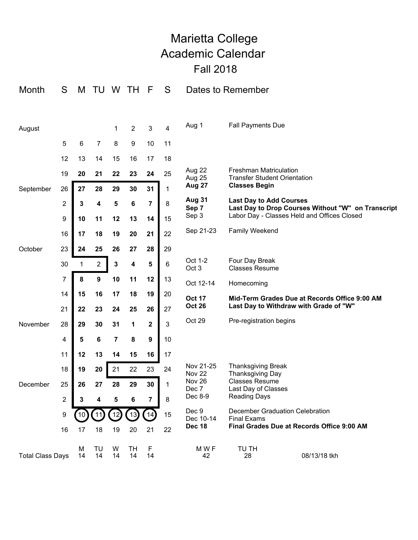## Marietta College Academic Calendar Fall 2018

| Month                   | S              | M           | TU               | W       | ТH                           | F            | S           |                                | Dates to Remember                                                                    |  |
|-------------------------|----------------|-------------|------------------|---------|------------------------------|--------------|-------------|--------------------------------|--------------------------------------------------------------------------------------|--|
|                         |                |             |                  |         |                              |              |             |                                |                                                                                      |  |
| August                  |                |             |                  | 1       | $\overline{2}$               | $\mathbf{3}$ | 4           | Aug 1                          | <b>Fall Payments Due</b>                                                             |  |
|                         | 5              | 6           | $\overline{7}$   | 8       | $\boldsymbol{9}$             | 10           | 11          |                                |                                                                                      |  |
|                         | 12             | 13          | 14               | 15      | 16                           | 17           | 18          |                                |                                                                                      |  |
|                         | 19             | 20          | 21               | 22      | 23                           | 24           | 25          | Aug 22<br>Aug 25               | <b>Freshman Matriculation</b><br><b>Transfer Student Orientation</b>                 |  |
| September               | 26             | 27          | 28               | 29      | 30                           | 31           | $\mathbf 1$ | <b>Aug 27</b>                  | <b>Classes Begin</b>                                                                 |  |
|                         | $\overline{c}$ | $\mathbf 3$ | $\boldsymbol{4}$ | 5       | 6                            | 7            | 8           | <b>Aug 31</b><br>Sep 7         | <b>Last Day to Add Courses</b><br>Last Day to Drop Courses Without "W" on Transcript |  |
|                         | 9              | 10          | 11               | 12      | 13                           | 14           | 15          | Sep 3                          | Labor Day - Classes Held and Offices Closed                                          |  |
|                         | 16             | 17          | 18               | 19      | 20                           | 21           | 22          | Sep 21-23                      | <b>Family Weekend</b>                                                                |  |
| October                 | 23             | 24          | 25               | 26      | 27                           | 28           | 29          |                                |                                                                                      |  |
|                         | 30             | 1           | $\overline{2}$   | 3       | 4                            | 5            | $\,6$       | Oct 1-2<br>Oct <sub>3</sub>    | Four Day Break<br><b>Classes Resume</b>                                              |  |
|                         | 7              | 8           | $\boldsymbol{9}$ | 10      | 11                           | 12           | 13          | Oct 12-14                      | Homecoming                                                                           |  |
|                         | 14             | 15          | 16               | 17      | 18                           | 19           | 20          | <b>Oct 17</b>                  | Mid-Term Grades Due at Records Office 9:00 AM                                        |  |
|                         | 21             | 22          | 23               | 24      | 25                           | 26           | 27          | <b>Oct 26</b>                  | Last Day to Withdraw with Grade of "W"                                               |  |
| November                | 28             | 29          | 30               | 31      | 1                            | $\mathbf 2$  | 3           | Oct 29                         | Pre-registration begins                                                              |  |
|                         | 4              | 5           | 6                | 7       | 8                            | 9            | 10          |                                |                                                                                      |  |
|                         | 11             | 12          | 13               | 14      | 15                           | 16           | 17          |                                |                                                                                      |  |
|                         | 18             | 19          | 20               | 21      | 22                           | 23           | 24          | Nov 21-25<br>Nov <sub>22</sub> | <b>Thanksgiving Break</b><br>Thanksgiving Day                                        |  |
| December                | 25             | 26          | 27               | 28      | 29                           | 30           | 1           | Nov 26<br>Dec 7                | <b>Classes Resume</b><br>Last Day of Classes                                         |  |
|                         | 2              | 3           | 4                | 5       | 6                            | 7            | 8           | Dec 8-9                        | <b>Reading Days</b>                                                                  |  |
|                         | 9              |             |                  |         | $\left( \frac{1}{3} \right)$ |              | 15          | Dec 9<br>Dec 10-14             | December Graduation Celebration<br><b>Final Exams</b>                                |  |
|                         | 16             | 17          | 18               | 19      | 20                           | 21           | 22          | <b>Dec 18</b>                  | Final Grades Due at Records Office 9:00 AM                                           |  |
| <b>Total Class Days</b> |                | М<br>14     | TU<br>14         | W<br>14 | TH<br>14                     | F<br>14      |             | M W F<br>42                    | TU TH<br>08/13/18 tkh<br>28                                                          |  |